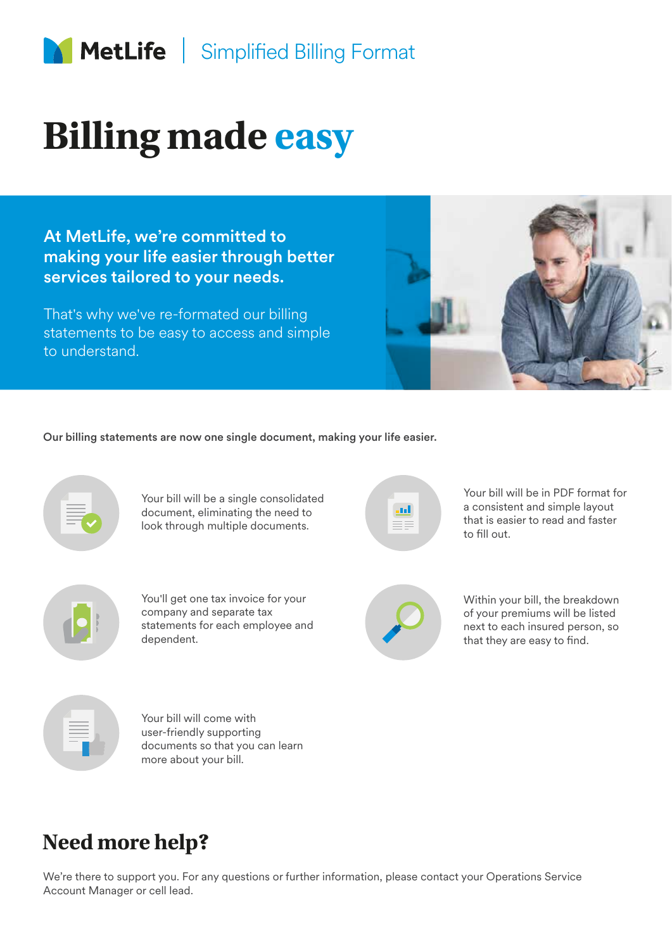

## **Billing made easy**

At MetLife, we're committed to making your life easier through better services tailored to your needs.

That's why we've re-formated our billing statements to be easy to access and simple to understand.



Our billing statements are now one single document, making your life easier.



Your bill will be a single consolidated document, eliminating the need to look through multiple documents.



You'll get one tax invoice for your company and separate tax statements for each employee and dependent.

Your bill will be in PDF format for a consistent and simple layout that is easier to read and faster to fill out.



Within your bill, the breakdown of your premiums will be listed next to each insured person, so that they are easy to find.



Your bill will come with user-friendly supporting documents so that you can learn more about your bill.

## **Need more help?**

We're there to support you. For any questions or further information, please contact your Operations Service Account Manager or cell lead.